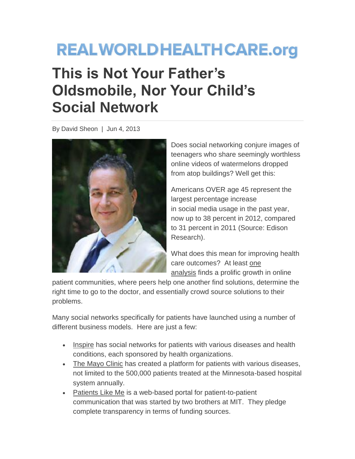## **REALWORLDHEALTHCARE.org This is Not Your Father's Oldsmobile, Nor Your Child's Social Network**

By David Sheon | Jun 4, 2013



Does social networking conjure images of teenagers who share seemingly worthless online videos of watermelons dropped from atop buildings? Well get this:

Americans OVER age 45 represent the largest percentage increase in social media usage in the past year, now up to 38 percent in 2012, compared to 31 percent in 2011 (Source: Edison Research).

What does this mean for improving health care outcomes? At least [one](http://www.healthcarefinancenews.com/news/social-network-aims-keep-baby-boomers-healthy-prevent-unnecessary-costs)  [analysis](http://www.healthcarefinancenews.com/news/social-network-aims-keep-baby-boomers-healthy-prevent-unnecessary-costs) finds a prolific growth in online

patient communities, where peers help one another find solutions, determine the right time to go to the doctor, and essentially crowd source solutions to their problems.

Many social networks specifically for patients have launched using a number of different business models. Here are just a few:

- [Inspire](http://www.inspire.com/) has social networks for patients with various diseases and health conditions, each sponsored by health organizations.
- [The Mayo Clinic](http://www.mayoclinic.org/connect/) has created a platform for patients with various diseases, not limited to the 500,000 patients treated at the Minnesota-based hospital system annually.
- [Patients Like Me](http://www.patientslikeme.com/) is a web-based portal for patient-to-patient communication that was started by two brothers at MIT. They pledge complete transparency in terms of funding sources.